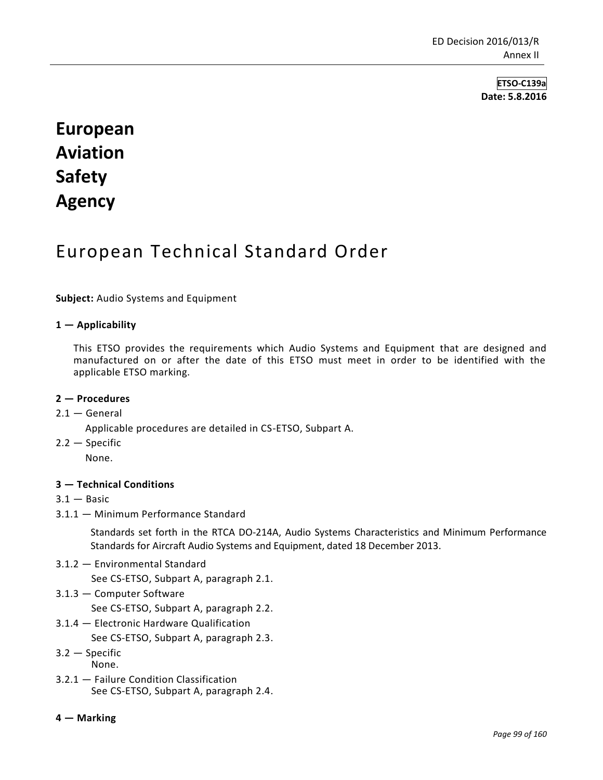**ETSO-C139a Date: 5.8.2016**

# **European Aviation Safety Agency**

## European Technical Standard Order

**Subject:** Audio Systems and Equipment

### **1 — Applicability**

This ETSO provides the requirements which Audio Systems and Equipment that are designed and manufactured on or after the date of this ETSO must meet in order to be identified with the applicable ETSO marking.

#### **2 — Procedures**

#### $2.1 -$  General

Applicable procedures are detailed in CS-ETSO, Subpart A.

2.2 — Specific

None.

#### **3 — Technical Conditions**

- $3.1 -$ Basic
- 3.1.1 Minimum Performance Standard

Standards set forth in the RTCA DO-214A, Audio Systems Characteristics and Minimum Performance Standards for Aircraft Audio Systems and Equipment, dated 18 December 2013.

3.1.2 — Environmental Standard

See CS-ETSO, Subpart A, paragraph 2.1.

3.1.3 — Computer Software

See CS-ETSO, Subpart A, paragraph 2.2.

3.1.4 — Electronic Hardware Qualification

See CS-ETSO, Subpart A, paragraph 2.3.

- 3.2 Specific
- None.
- 3.2.1 Failure Condition Classification See CS-ETSO, Subpart A, paragraph 2.4.

#### **4 — Marking**